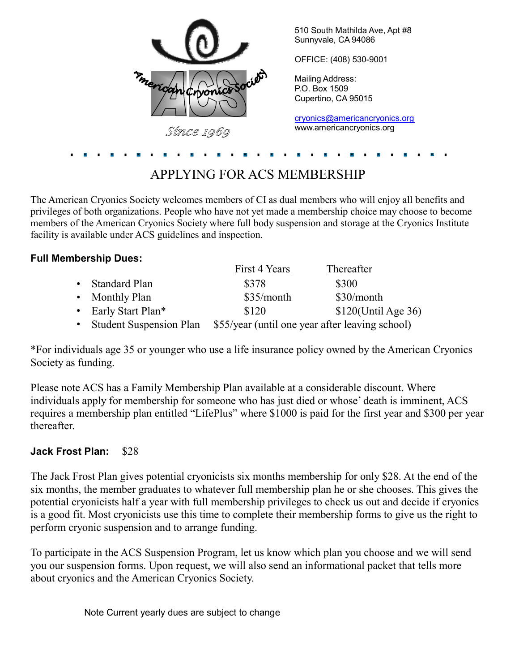

## APPLYING FOR ACS MEMBERSHIP

The American Cryonics Society welcomes members of CI as dual members who will enjoy all benefits and privileges of both organizations. People who have not yet made a membership choice may choose to become members of the American Cryonics Society where full body suspension and storage at the Cryonics Institute facility is available under ACS guidelines and inspection.

| <b>Full Membership Dues:</b>  |               |                        |
|-------------------------------|---------------|------------------------|
|                               | First 4 Years | Thereafter             |
| Standard Plan                 | \$378         | \$300                  |
| • Monthly Plan                | \$35/month    | $$30/m$ onth           |
| • Early Start Plan*           | \$120         | \$120(Until Age 36)    |
| $\alpha$ , 1, $\alpha$<br>1 ד |               | $\alpha$ 1 $\cdot$ 1 1 |

• Student Suspension Plan \$55/year (until one year after leaving school)

\*For individuals age 35 or younger who use a life insurance policy owned by the American Cryonics Society as funding.

Please note ACS has a Family Membership Plan available at a considerable discount. Where individuals apply for membership for someone who has just died or whose' death is imminent, ACS requires a membership plan entitled "LifePlus" where \$1000 is paid for the first year and \$300 per year thereafter.

### **Jack Frost Plan:** \$28

The Jack Frost Plan gives potential cryonicists six months membership for only \$28. At the end of the six months, the member graduates to whatever full membership plan he or she chooses. This gives the potential cryonicists half a year with full membership privileges to check us out and decide if cryonics is a good fit. Most cryonicists use this time to complete their membership forms to give us the right to perform cryonic suspension and to arrange funding.

To participate in the ACS Suspension Program, let us know which plan you choose and we will send you our suspension forms. Upon request, we will also send an informational packet that tells more about cryonics and the American Cryonics Society.

Note Current yearly dues are subject to change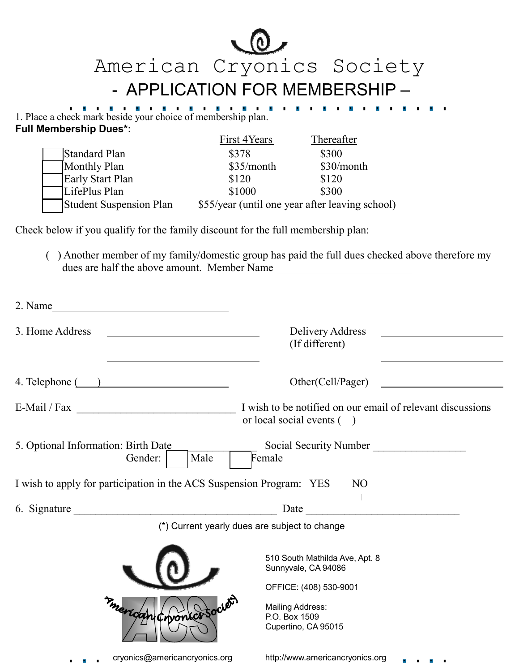American Cryonics Society - APPLICATION FOR MEMBERSHIP –

. . . . .

**British British** 

1. Place a check mark beside your choice of membership plan. **Full Membership Dues\*:** 

|                                | First 4Years | Thereafter                                      |
|--------------------------------|--------------|-------------------------------------------------|
| Standard Plan                  | \$378        | \$300                                           |
| Monthly Plan                   | \$35/month   | \$30/month                                      |
| <b>Early Start Plan</b>        | \$120        | \$120                                           |
| LifePlus Plan                  | \$1000       | \$300                                           |
| <b>Student Suspension Plan</b> |              | \$55/year (until one year after leaving school) |

Check below if you qualify for the family discount for the full membership plan:

( ) Another member of my family/domestic group has paid the full dues checked above therefore my dues are half the above amount. Member Name

| 2. Name<br><u> 1980 - Johann Barn, mars ann an t-Amhain Aonaich an t-Aonaich an t-Aonaich ann an t-Aonaich ann an t-Aonaich</u> |                                                                                         |
|---------------------------------------------------------------------------------------------------------------------------------|-----------------------------------------------------------------------------------------|
| 3. Home Address                                                                                                                 | Delivery Address<br>(If different)                                                      |
| $4.$ Telephone $($ $)$                                                                                                          | Other(Cell/Pager)                                                                       |
|                                                                                                                                 | I wish to be notified on our email of relevant discussions<br>or local social events () |
| 5. Optional Information: Birth Date<br>Gender:<br>Male                                                                          | Social Security Number<br>Female                                                        |
| I wish to apply for participation in the ACS Suspension Program: YES                                                            | N <sub>O</sub>                                                                          |
|                                                                                                                                 |                                                                                         |
|                                                                                                                                 | (*) Current yearly dues are subject to change                                           |
|                                                                                                                                 | 510 South Mathilda Ave, Apt. 8<br>Sunnyvale, CA 94086                                   |
|                                                                                                                                 | OFFICE: (408) 530-9001                                                                  |
| Chronics                                                                                                                        | Mailing Address:<br>P.O. Box 1509<br>Cupertino, CA 95015                                |
| cryonics@americancryonics.org<br>.                                                                                              | http://www.americancryonics.org                                                         |